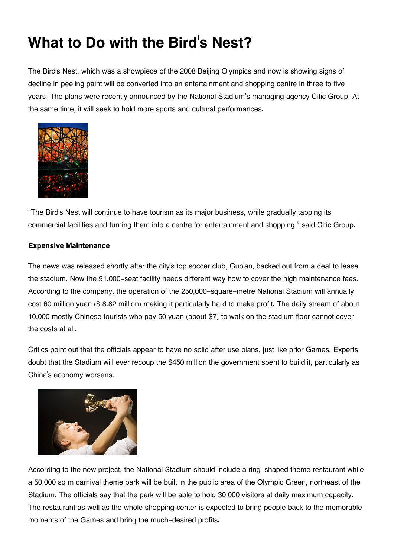## **What to Do with the Bird's Nest?**

The Bird's Nest, which was a showpiece of the 2008 Beijing Olympics and now is showing signs of decline in peeling paint will be converted into an entertainment and shopping centre in three to five years. The plans were recently announced by the National Stadium's managing agency Citic Group. At the same time, it will seek to hold more sports and cultural performances.



"The Bird's Nest will continue to have tourism as its major business, while gradually tapping its commercial facilities and turning them into a centre for entertainment and shopping," said Citic Group.

## **Expensive Maintenance**

The news was released shortly after the city's top soccer club, Guo'an, backed out from a deal to lease the stadium. Now the 91.000-seat facility needs different way how to cover the high maintenance fees. According to the company, the operation of the 250,000-square-metre National Stadium will annually cost 60 million yuan (\$ 8.82 million) making it particularly hard to make profit. The daily stream of about 10,000 mostly Chinese tourists who pay 50 yuan (about \$7) to walk on the stadium floor cannot cover the costs at all.

Critics point out that the officials appear to have no solid after use plans, just like prior Games. Experts doubt that the Stadium will ever recoup the \$450 million the government spent to build it, particularly as China's economy worsens.



According to the new project, the National Stadium should include a ring-shaped theme restaurant while a 50,000 sq m carnival theme park will be built in the public area of the Olympic Green, northeast of the Stadium. The officials say that the park will be able to hold 30,000 visitors at daily maximum capacity. The restaurant as well as the whole shopping center is expected to bring people back to the memorable moments of the Games and bring the much-desired profits.